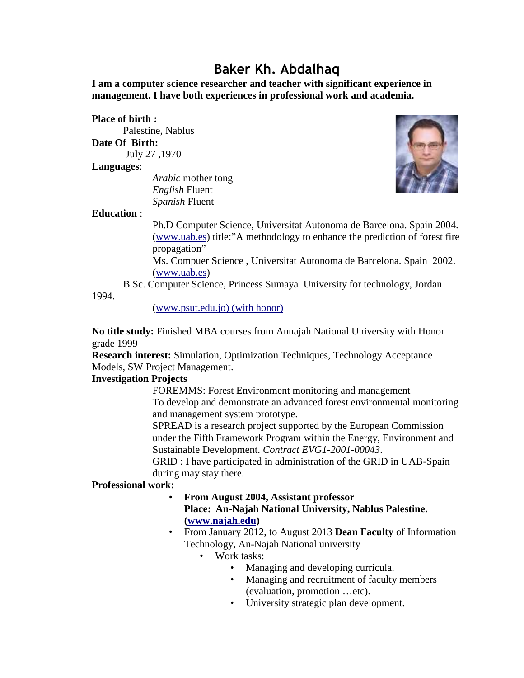# **Baker Kh. Abdalhaq**

**I am a computer science researcher and teacher with significant experience in management. I have both experiences in professional work and academia.**

#### **Place of birth :**

Palestine, Nablus **Date Of Birth:** July 27 ,1970

**Languages**:

*Arabic* mother tong *English* Fluent *Spanish* Fluent



## **Education** :

Ph.D Computer Science, Universitat Autonoma de Barcelona. Spain 2004. (www.uab.es) title:"A methodology to enhance the prediction of forest fire propagation"

Ms. Compuer Science , Universitat Autonoma de Barcelona. Spain 2002. (www.uab.es)

B.Sc. Computer Science, Princess Sumaya University for technology, Jordan

1994.

(www.psut.edu.jo) (with honor)

**No title study:** Finished MBA courses from Annajah National University with Honor grade 1999

**Research interest:** Simulation, Optimization Techniques, Technology Acceptance Models, SW Project Management.

## **Investigation Projects**

FOREMMS: Forest Environment monitoring and management To develop and demonstrate an advanced forest environmental monitoring and management system prototype.

SPREAD is a research project supported by the European Commission under the Fifth Framework Program within the Energy, Environment and Sustainable Development. *Contract EVG1-2001-00043*.

GRID : I have participated in administration of the GRID in UAB-Spain during may stay there.

## **Professional work:**

- **From August 2004, Assistant professor Place: An-Najah National University, Nablus Palestine. (www.najah.edu)**
- From January 2012, to August 2013 **Dean Faculty** of Information Technology, An-Najah National university
	- Work tasks:
		- Managing and developing curricula.
		- Managing and recruitment of faculty members (evaluation, promotion …etc).
		- University strategic plan development.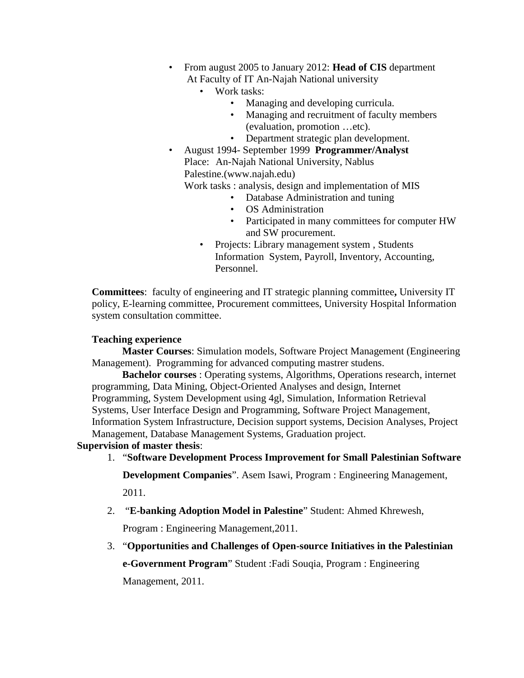- From august 2005 to January 2012: **Head of CIS** department At Faculty of IT An-Najah National university
	- Work tasks:
		- Managing and developing curricula.
		- Managing and recruitment of faculty members (evaluation, promotion …etc).
		- Department strategic plan development.
- August 1994- September 1999 **Programmer/Analyst** Place: An-Najah National University, Nablus Palestine.(www.najah.edu) Work tasks : analysis, design and implementation of MIS
	- Database Administration and tuning
	- OS Administration
	- Participated in many committees for computer HW and SW procurement.
	- Projects: Library management system, Students Information System, Payroll, Inventory, Accounting, Personnel.

**Committees**: faculty of engineering and IT strategic planning committee**,** University IT policy, E-learning committee, Procurement committees, University Hospital Information system consultation committee.

## **Teaching experience**

**Master Courses**: Simulation models, Software Project Management (Engineering Management). Programming for advanced computing mastrer studens.

**Bachelor courses** : Operating systems, Algorithms, Operations research, internet programming, Data Mining, Object-Oriented Analyses and design, Internet Programming, System Development using 4gl, Simulation, Information Retrieval Systems, User Interface Design and Programming, Software Project Management, Information System Infrastructure, Decision support systems, Decision Analyses, Project Management, Database Management Systems, Graduation project.

#### **Supervision of master thesis**:

1. "**Software Development Process Improvement for Small Palestinian Software**

**Development Companies**". Asem Isawi, Program : Engineering Management,

2011.

2. "**E-banking Adoption Model in Palestine**" Student: Ahmed Khrewesh,

Program : Engineering Management,2011.

3. "**Opportunities and Challenges of Open-source Initiatives in the Palestinian**

**e-Government Program**" Student :Fadi Souqia, Program : Engineering Management, 2011.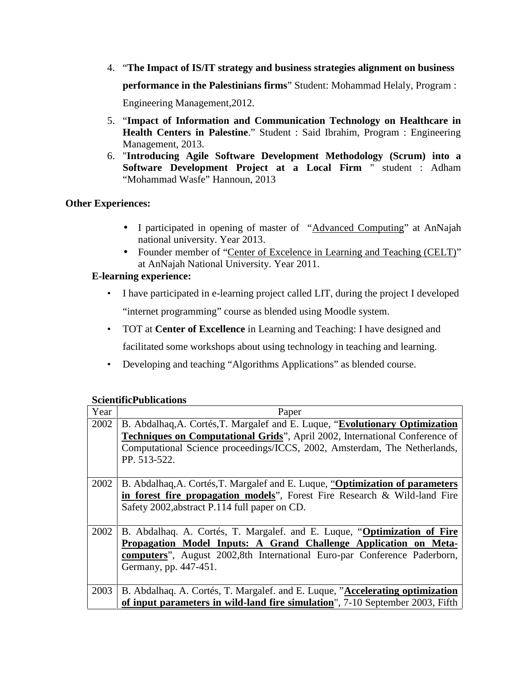- 4. "**The Impact of IS/IT strategy and business strategies alignment on business performance in the Palestinians firms**" Student: Mohammad Helaly, Program : Engineering Management,2012.
- 5. "**Impact of Information and Communication Technology on Healthcare in Health Centers in Palestine**." Student : Said Ibrahim, Program : Engineering Management, 2013.
- 6. "**Introducing Agile Software Development Methodology (Scrum) into a Software Development Project at a Local Firm** " student : Adham "Mohammad Wasfe" Hannoun, 2013

## **Other Experiences:**

- I participated in opening of master of "Advanced Computing" at AnNajah national university. Year 2013.
- Founder member of "Center of Excelence in Learning and Teaching (CELT)" at AnNajah National University. Year 2011.

# **E-learning experience:**

- I have participated in e-learning project called LIT, during the project I developed "internet programming" course as blended using Moodle system.
- TOT at **Center of Excellence** in Learning and Teaching: I have designed and facilitated some workshops about using technology in teaching and learning.
- Developing and teaching "Algorithms Applications" as blended course.

## **ScientificPublications**

| Year | Paper                                                                          |  |
|------|--------------------------------------------------------------------------------|--|
| 2002 | B. Abdalhaq, A. Cortés, T. Margalef and E. Luque, "Evolutionary Optimization"  |  |
|      | Techniques on Computational Grids", April 2002, International Conference of    |  |
|      | Computational Science proceedings/ICCS, 2002, Amsterdam, The Netherlands,      |  |
|      | PP. 513-522.                                                                   |  |
|      |                                                                                |  |
| 2002 | B. Abdalhaq, A. Cortés, T. Margalef and E. Luque, "Optimization of parameters  |  |
|      | in forest fire propagation models", Forest Fire Research & Wild-land Fire      |  |
|      | Safety 2002, abstract P.114 full paper on CD.                                  |  |
|      |                                                                                |  |
| 2002 | B. Abdalhaq. A. Cortés, T. Margalef. and E. Luque, "Optimization of Fire       |  |
|      | Propagation Model Inputs: A Grand Challenge Application on Meta-               |  |
|      | computers", August 2002,8th International Euro-par Conference Paderborn,       |  |
|      | Germany, pp. 447-451.                                                          |  |
|      |                                                                                |  |
| 2003 | B. Abdalhaq. A. Cortés, T. Margalef. and E. Luque, "Accelerating optimization" |  |
|      | of input parameters in wild-land fire simulation", 7-10 September 2003, Fifth  |  |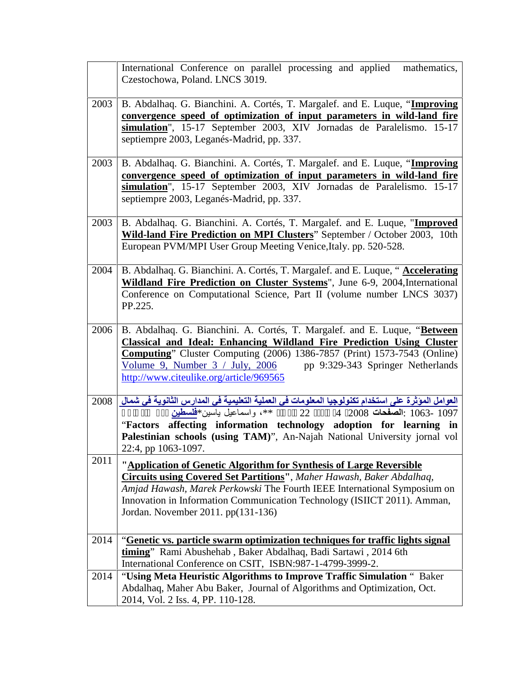|      | International Conference on parallel processing and applied mathematics,<br>Czestochowa, Poland. LNCS 3019.                                                                                                                                                                                                                                                |
|------|------------------------------------------------------------------------------------------------------------------------------------------------------------------------------------------------------------------------------------------------------------------------------------------------------------------------------------------------------------|
| 2003 | B. Abdalhaq. G. Bianchini. A. Cortés, T. Margalef. and E. Luque, "Improving<br>convergence speed of optimization of input parameters in wild-land fire<br>simulation", 15-17 September 2003, XIV Jornadas de Paralelismo. 15-17<br>septiempre 2003, Leganés-Madrid, pp. 337.                                                                               |
| 2003 | B. Abdalhaq. G. Bianchini. A. Cortés, T. Margalef. and E. Luque, "Improving<br>convergence speed of optimization of input parameters in wild-land fire<br>simulation", 15-17 September 2003, XIV Jornadas de Paralelismo. 15-17<br>septiempre 2003, Leganés-Madrid, pp. 337.                                                                               |
| 2003 | B. Abdalhaq. G. Bianchini. A. Cortés, T. Margalef. and E. Luque, "Improved<br>Wild-land Fire Prediction on MPI Clusters" September / October 2003, 10th<br>European PVM/MPI User Group Meeting Venice, Italy. pp. 520-528.                                                                                                                                 |
| 2004 | B. Abdalhaq. G. Bianchini. A. Cortés, T. Margalef. and E. Luque, "Accelerating<br>Wildland Fire Prediction on Cluster Systems", June 6-9, 2004, International<br>Conference on Computational Science, Part II (volume number LNCS 3037)<br>PP.225.                                                                                                         |
| 2006 | B. Abdalhaq. G. Bianchini. A. Cortés, T. Margalef. and E. Luque, "Between<br><b>Classical and Ideal: Enhancing Wildland Fire Prediction Using Cluster</b><br>Computing" Cluster Computing (2006) 1386-7857 (Print) 1573-7543 (Online)<br>pp 9:329-343 Springer Netherlands<br>Volume 9, Number $3 /$ July, 2006<br>http://www.citeulike.org/article/969565 |
| 2008 | العوامل الموَثرة على استخدام تكنولوجيا المعلومات في العملية التعليمية في المدارس الثانوية في شمال<br>1063- 1097: الصفحات 2008 4 2008 *** ، واسماعيل باسين*فلسطين<br>"Factors affecting information technology adoption for learning in<br>Palestinian schools (using TAM)", An-Najah National University jornal vol<br>22:4, pp 1063-1097.                 |
| 2011 | "Application of Genetic Algorithm for Synthesis of Large Reversible<br><b>Circuits using Covered Set Partitions"</b> , Maher Hawash, Baker Abdalhaq,<br>Amjad Hawash, Marek Perkowski The Fourth IEEE International Symposium on<br>Innovation in Information Communication Technology (ISIICT 2011). Amman,<br>Jordan. November 2011. pp(131-136)         |
| 2014 | "Genetic vs. particle swarm optimization techniques for traffic lights signal<br>timing" Rami Abushehab, Baker Abdalhaq, Badi Sartawi, 2014 6th<br>International Conference on CSIT, ISBN:987-1-4799-3999-2.                                                                                                                                               |
| 2014 | "Using Meta Heuristic Algorithms to Improve Traffic Simulation " Baker<br>Abdalhaq, Maher Abu Baker, Journal of Algorithms and Optimization, Oct.<br>2014, Vol. 2 Iss. 4, PP. 110-128.                                                                                                                                                                     |